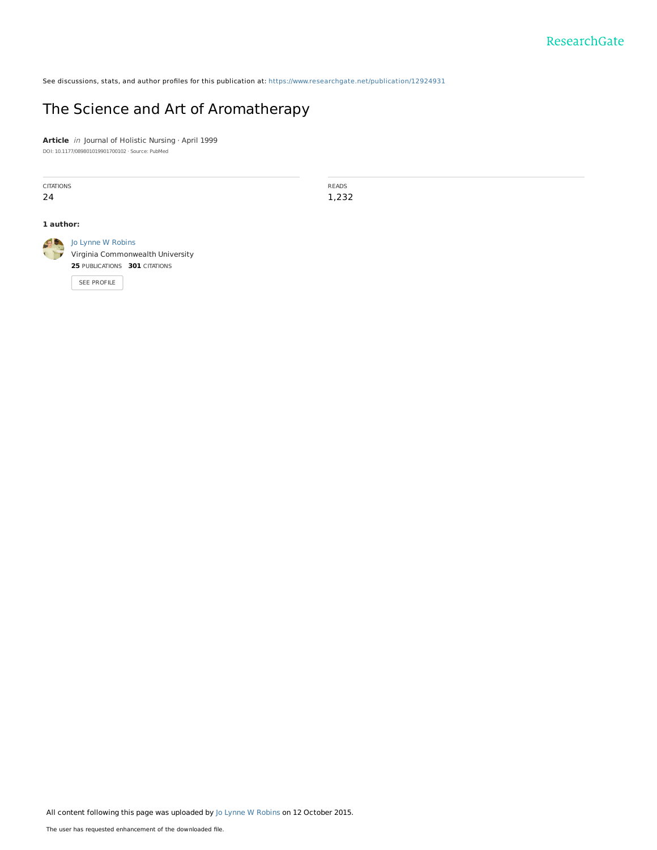See discussions, stats, and author profiles for this publication at: [https://www.researchgate.net/publication/12924931](https://www.researchgate.net/publication/12924931_The_Science_and_Art_of_Aromatherapy?enrichId=rgreq-700bd1fbe19b04b303f041baaa42b4ca-XXX&enrichSource=Y292ZXJQYWdlOzEyOTI0OTMxO0FTOjI4MzcyODUwNjA0ODUxMkAxNDQ0NjU3NTU1MTUx&el=1_x_2&_esc=publicationCoverPdf)

# The Science and Art of [Aromatherapy](https://www.researchgate.net/publication/12924931_The_Science_and_Art_of_Aromatherapy?enrichId=rgreq-700bd1fbe19b04b303f041baaa42b4ca-XXX&enrichSource=Y292ZXJQYWdlOzEyOTI0OTMxO0FTOjI4MzcyODUwNjA0ODUxMkAxNDQ0NjU3NTU1MTUx&el=1_x_3&_esc=publicationCoverPdf)

**Article** in Journal of Holistic Nursing · April 1999 DOI: 10.1177/089801019901700102 · Source: PubMed

CITATIONS 24

READS 1,232

#### **1 author:**



Jo Lynne W [Robins](https://www.researchgate.net/profile/Jo_Robins?enrichId=rgreq-700bd1fbe19b04b303f041baaa42b4ca-XXX&enrichSource=Y292ZXJQYWdlOzEyOTI0OTMxO0FTOjI4MzcyODUwNjA0ODUxMkAxNDQ0NjU3NTU1MTUx&el=1_x_5&_esc=publicationCoverPdf) Virginia [Commonwealth](https://www.researchgate.net/institution/Virginia_Commonwealth_University?enrichId=rgreq-700bd1fbe19b04b303f041baaa42b4ca-XXX&enrichSource=Y292ZXJQYWdlOzEyOTI0OTMxO0FTOjI4MzcyODUwNjA0ODUxMkAxNDQ0NjU3NTU1MTUx&el=1_x_6&_esc=publicationCoverPdf) University **25** PUBLICATIONS **301** CITATIONS

SEE [PROFILE](https://www.researchgate.net/profile/Jo_Robins?enrichId=rgreq-700bd1fbe19b04b303f041baaa42b4ca-XXX&enrichSource=Y292ZXJQYWdlOzEyOTI0OTMxO0FTOjI4MzcyODUwNjA0ODUxMkAxNDQ0NjU3NTU1MTUx&el=1_x_7&_esc=publicationCoverPdf)

All content following this page was uploaded by Jo Lynne W [Robins](https://www.researchgate.net/profile/Jo_Robins?enrichId=rgreq-700bd1fbe19b04b303f041baaa42b4ca-XXX&enrichSource=Y292ZXJQYWdlOzEyOTI0OTMxO0FTOjI4MzcyODUwNjA0ODUxMkAxNDQ0NjU3NTU1MTUx&el=1_x_10&_esc=publicationCoverPdf) on 12 October 2015.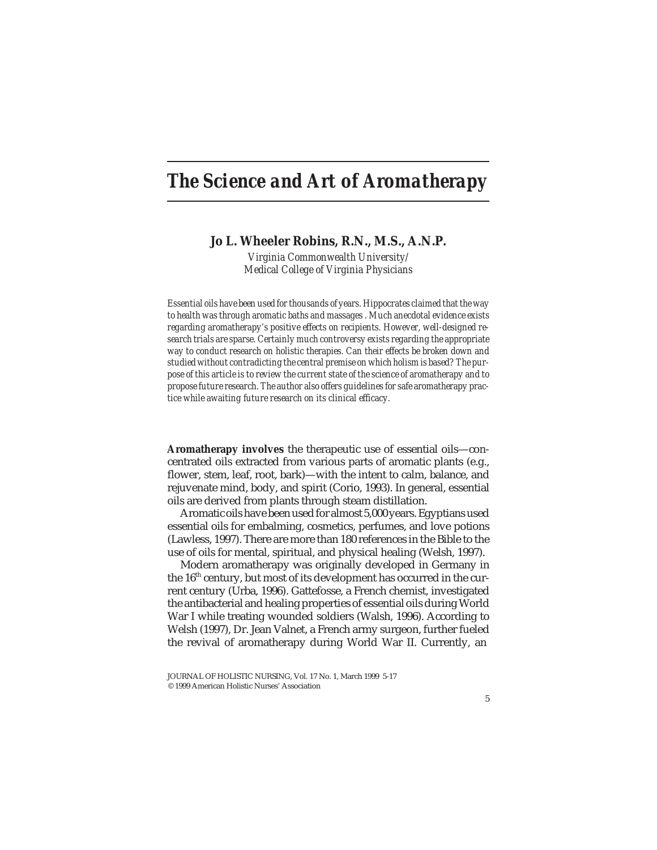# *The Science and Art of Aromatherapy*

**Jo L. Wheeler Robins, R.N., M.S., A.N.P.**

*Virginia Commonwealth University/ Medical College of Virginia Physicians*

*Essential oils have been used for thousands of years. Hippocrates claimed that the way to health was through aromatic baths and massages . Much anecdotal evidence exists regarding aromatherapy's positive effects on recipients. However, well-designed research trials are sparse. Certainly much controversy exists regarding the appropriate way to conduct research on holistic therapies. Can their effects be broken down and studied without contradicting the central premise on which holism is based? The purpose of this article is to review the current state of the science of aromatherapy and to propose future research. The author also offers guidelines for safe aromatherapy practice while awaiting future research on its clinical efficacy.*

**Aromatherapy involves** the therapeutic use of essential oils—concentrated oils extracted from various parts of aromatic plants (e.g., flower, stem, leaf, root, bark)—with the intent to calm, balance, and rejuvenate mind, body, and spirit (Corio, 1993). In general, essential oils are derived from plants through steam distillation.

Aromatic oils have been used for almost 5,000 years. Egyptians used essential oils for embalming, cosmetics, perfumes, and love potions (Lawless, 1997). There are more than 180 references in the Bible to the use of oils for mental, spiritual, and physical healing (Welsh, 1997).

Modern aromatherapy was originally developed in Germany in the 16<sup>th</sup> century, but most of its development has occurred in the current century (Urba, 1996). Gattefosse, a French chemist, investigated the antibacterial and healing properties of essential oils during World War I while treating wounded soldiers (Walsh, 1996). According to Welsh (1997), Dr. Jean Valnet, a French army surgeon, further fueled the revival of aromatherapy during World War II. Currently, an

JOURNAL OF HOLISTIC NURSING, Vol. 17 No. 1, March 1999 5-17 © 1999 American Holistic Nurses' Association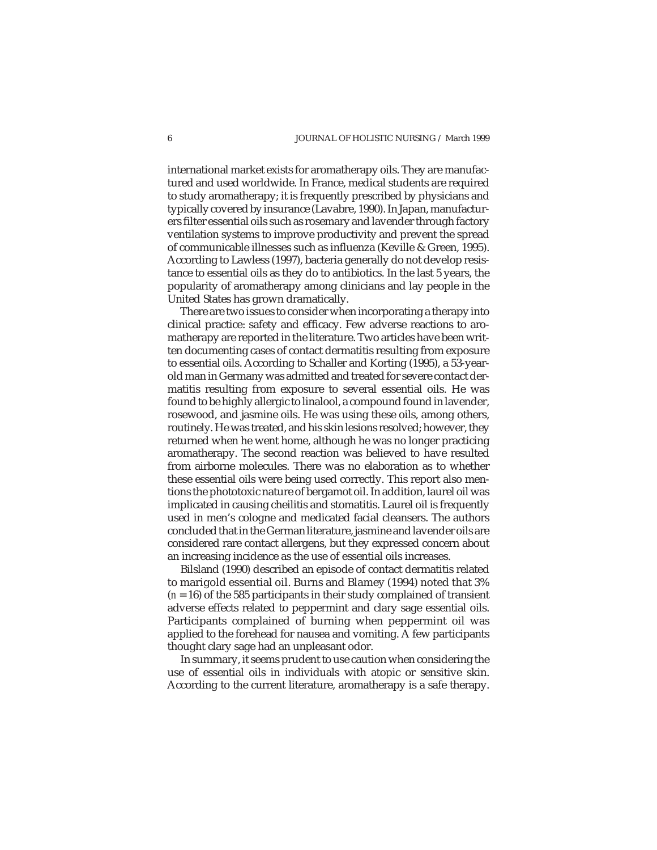international market exists for aromatherapy oils. They are manufactured and used worldwide. In France, medical students are required to study aromatherapy; it is frequently prescribed by physicians and typically covered by insurance (Lavabre, 1990). In Japan, manufacturers filter essential oils such as rosemary and lavender through factory ventilation systems to improve productivity and prevent the spread of communicable illnesses such as influenza (Keville & Green, 1995). According to Lawless (1997), bacteria generally do not develop resistance to essential oils as they do to antibiotics. In the last 5 years, the popularity of aromatherapy among clinicians and lay people in the United States has grown dramatically.

There are two issues to consider when incorporating a therapy into clinical practice: safety and efficacy. Few adverse reactions to aromatherapy are reported in the literature. Two articles have been written documenting cases of contact dermatitis resulting from exposure to essential oils. According to Schaller and Korting (1995), a 53-yearold man in Germany was admitted and treated for severe contact dermatitis resulting from exposure to several essential oils. He was found to be highly allergic to linalool, a compound found in lavender, rosewood, and jasmine oils. He was using these oils, among others, routinely. He was treated, and his skin lesions resolved; however, they returned when he went home, although he was no longer practicing aromatherapy. The second reaction was believed to have resulted from airborne molecules. There was no elaboration as to whether these essential oils were being used correctly. This report also mentions the phototoxic nature of bergamot oil. In addition, laurel oil was implicated in causing cheilitis and stomatitis. Laurel oil is frequently used in men's cologne and medicated facial cleansers. The authors concluded that in the German literature, jasmine and lavender oils are considered rare contact allergens, but they expressed concern about an increasing incidence as the use of essential oils increases.

Bilsland (1990) described an episode of contact dermatitis related to marigold essential oil. Burns and Blamey (1994) noted that 3% (*n* = 16) of the 585 participants in their study complained of transient adverse effects related to peppermint and clary sage essential oils. Participants complained of burning when peppermint oil was applied to the forehead for nausea and vomiting. A few participants thought clary sage had an unpleasant odor.

In summary, it seems prudent to use caution when considering the use of essential oils in individuals with atopic or sensitive skin. According to the current literature, aromatherapy is a safe therapy.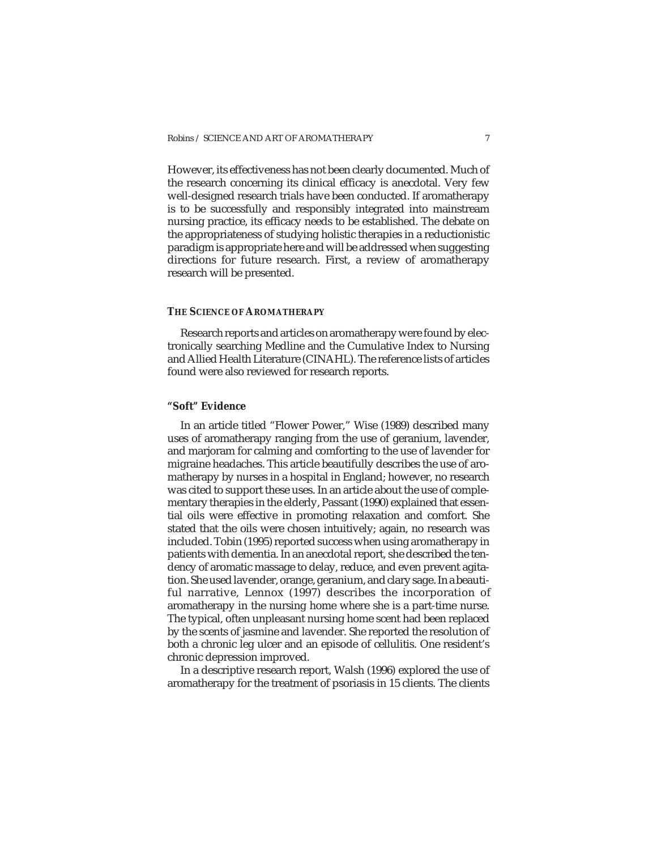However, its effectiveness has not been clearly documented. Much of the research concerning its clinical efficacy is anecdotal. Very few well-designed research trials have been conducted. If aromatherapy is to be successfully and responsibly integrated into mainstream nursing practice, its efficacy needs to be established. The debate on the appropriateness of studying holistic therapies in a reductionistic paradigm is appropriate here and will be addressed when suggesting directions for future research. First, a review of aromatherapy research will be presented.

#### **THE SCIENCE OF AROMATHERAPY**

Research reports and articles on aromatherapy were found by electronically searching Medline and the Cumulative Index to Nursing and Allied Health Literature (CINAHL). The reference lists of articles found were also reviewed for research reports.

### **"Soft" Evidence**

In an article titled "Flower Power," Wise (1989) described many uses of aromatherapy ranging from the use of geranium, lavender, and marjoram for calming and comforting to the use of lavender for migraine headaches. This article beautifully describes the use of aromatherapy by nurses in a hospital in England; however, no research was cited to support these uses. In an article about the use of complementary therapies in the elderly, Passant (1990) explained that essential oils were effective in promoting relaxation and comfort. She stated that the oils were chosen intuitively; again, no research was included. Tobin (1995) reported success when using aromatherapy in patients with dementia. In an anecdotal report, she described the tendency of aromatic massage to delay, reduce, and even prevent agitation. She used lavender, orange, geranium, and clary sage. In a beautiful narrative, Lennox (1997) describes the incorporation of aromatherapy in the nursing home where she is a part-time nurse. The typical, often unpleasant nursing home scent had been replaced by the scents of jasmine and lavender. She reported the resolution of both a chronic leg ulcer and an episode of cellulitis. One resident's chronic depression improved.

In a descriptive research report, Walsh (1996) explored the use of aromatherapy for the treatment of psoriasis in 15 clients. The clients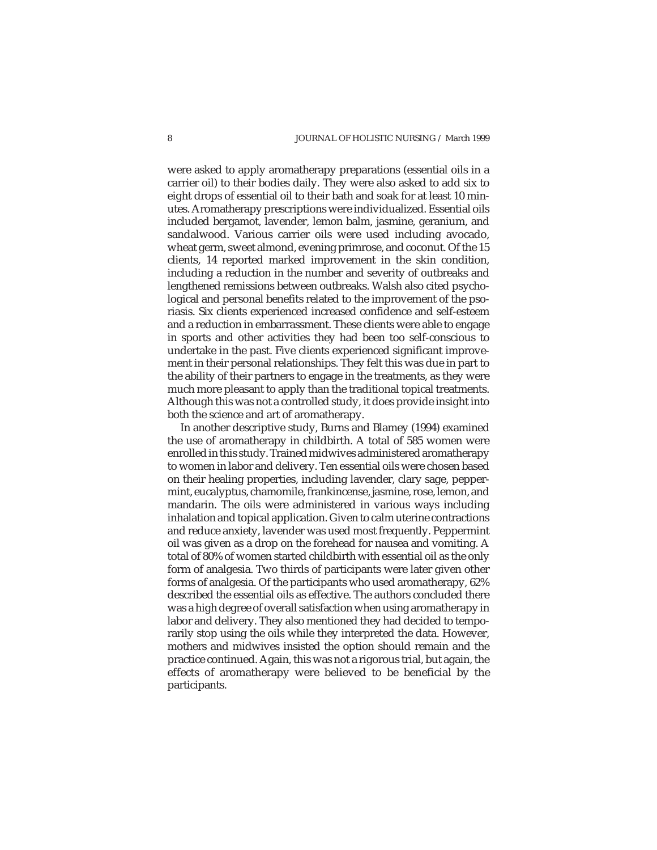were asked to apply aromatherapy preparations (essential oils in a carrier oil) to their bodies daily. They were also asked to add six to eight drops of essential oil to their bath and soak for at least 10 minutes. Aromatherapy prescriptions were individualized. Essential oils included bergamot, lavender, lemon balm, jasmine, geranium, and sandalwood. Various carrier oils were used including avocado, wheat germ, sweet almond, evening primrose, and coconut. Of the 15 clients, 14 reported marked improvement in the skin condition, including a reduction in the number and severity of outbreaks and lengthened remissions between outbreaks. Walsh also cited psychological and personal benefits related to the improvement of the psoriasis. Six clients experienced increased confidence and self-esteem and a reduction in embarrassment. These clients were able to engage in sports and other activities they had been too self-conscious to undertake in the past. Five clients experienced significant improvement in their personal relationships. They felt this was due in part to the ability of their partners to engage in the treatments, as they were much more pleasant to apply than the traditional topical treatments. Although this was not a controlled study, it does provide insight into both the science and art of aromatherapy.

In another descriptive study, Burns and Blamey (1994) examined the use of aromatherapy in childbirth. A total of 585 women were enrolled in this study. Trained midwives administered aromatherapy to women in labor and delivery. Ten essential oils were chosen based on their healing properties, including lavender, clary sage, peppermint, eucalyptus, chamomile, frankincense, jasmine, rose, lemon, and mandarin. The oils were administered in various ways including inhalation and topical application. Given to calm uterine contractions and reduce anxiety, lavender was used most frequently. Peppermint oil was given as a drop on the forehead for nausea and vomiting. A total of 80% of women started childbirth with essential oil as the only form of analgesia. Two thirds of participants were later given other forms of analgesia. Of the participants who used aromatherapy, 62% described the essential oils as effective. The authors concluded there was a high degree of overall satisfaction when using aromatherapy in labor and delivery. They also mentioned they had decided to temporarily stop using the oils while they interpreted the data. However, mothers and midwives insisted the option should remain and the practice continued. Again, this was not a rigorous trial, but again, the effects of aromatherapy were believed to be beneficial by the participants.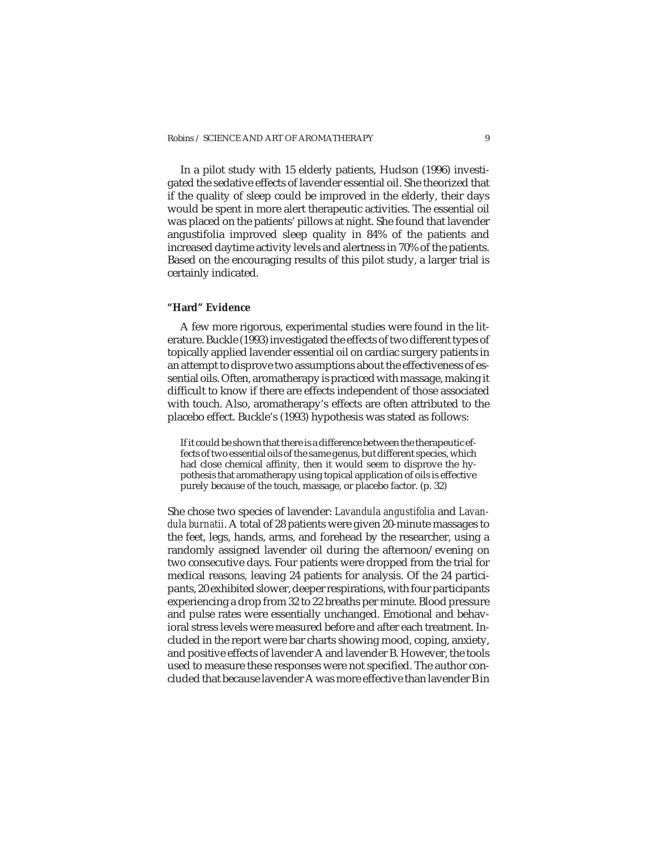In a pilot study with 15 elderly patients, Hudson (1996) investigated the sedative effects of lavender essential oil. She theorized that if the quality of sleep could be improved in the elderly, their days would be spent in more alert therapeutic activities. The essential oil was placed on the patients' pillows at night. She found that lavender angustifolia improved sleep quality in 84% of the patients and increased daytime activity levels and alertness in 70% of the patients. Based on the encouraging results of this pilot study, a larger trial is certainly indicated.

## **"Hard" Evidence**

A few more rigorous, experimental studies were found in the literature. Buckle (1993) investigated the effects of two different types of topically applied lavender essential oil on cardiac surgery patients in an attempt to disprove two assumptions about the effectiveness of essential oils. Often, aromatherapy is practiced with massage, making it difficult to know if there are effects independent of those associated with touch. Also, aromatherapy's effects are often attributed to the placebo effect. Buckle's (1993) hypothesis was stated as follows:

If it could be shown that there is a difference between the therapeutic effects of two essential oils of the same genus, but different species, which had close chemical affinity, then it would seem to disprove the hypothesis that aromatherapy using topical application of oils is effective purely because of the touch, massage, or placebo factor. (p. 32)

She chose two species of lavender: *Lavandula angustifolia* and *Lavandula burnatii*. A total of 28 patients were given 20-minute massages to the feet, legs, hands, arms, and forehead by the researcher, using a randomly assigned lavender oil during the afternoon/evening on two consecutive days. Four patients were dropped from the trial for medical reasons, leaving 24 patients for analysis. Of the 24 participants, 20 exhibited slower, deeper respirations, with four participants experiencing a drop from 32 to 22 breaths per minute. Blood pressure and pulse rates were essentially unchanged. Emotional and behavioral stress levels were measured before and after each treatment. Included in the report were bar charts showing mood, coping, anxiety, and positive effects of lavender A and lavender B. However, the tools used to measure these responses were not specified. The author concluded that because lavender A was more effective than lavender B in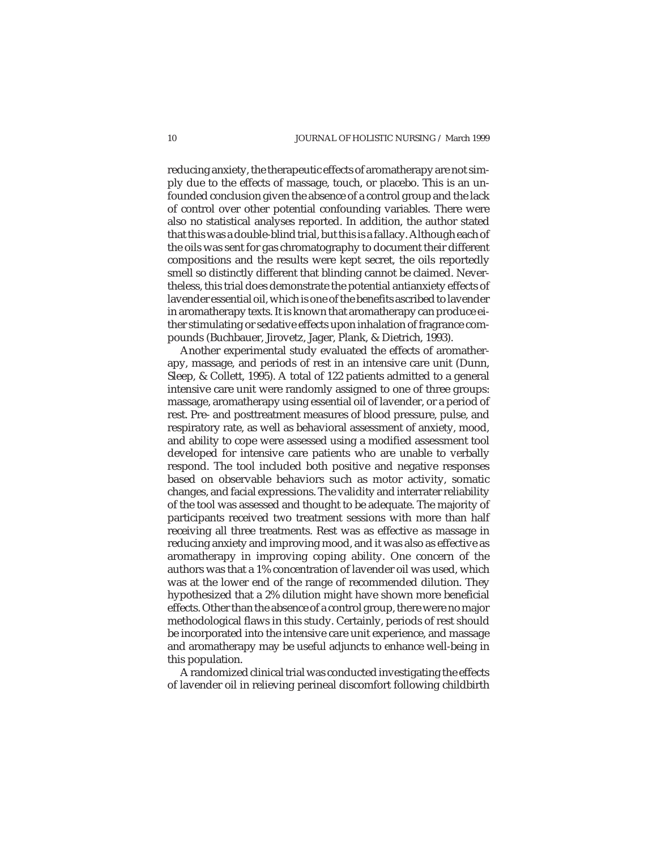reducing anxiety, the therapeutic effects of aromatherapy are not simply due to the effects of massage, touch, or placebo. This is an unfounded conclusion given the absence of a control group and the lack of control over other potential confounding variables. There were also no statistical analyses reported. In addition, the author stated that this was a double-blind trial, but this is a fallacy. Although each of the oils was sent for gas chromatography to document their different compositions and the results were kept secret, the oils reportedly smell so distinctly different that blinding cannot be claimed. Nevertheless, this trial does demonstrate the potential antianxiety effects of lavender essential oil, which is one of the benefits ascribed to lavender in aromatherapy texts. It is known that aromatherapy can produce either stimulating or sedative effects upon inhalation of fragrance compounds (Buchbauer, Jirovetz, Jager, Plank, & Dietrich, 1993).

Another experimental study evaluated the effects of aromatherapy, massage, and periods of rest in an intensive care unit (Dunn, Sleep, & Collett, 1995). A total of 122 patients admitted to a general intensive care unit were randomly assigned to one of three groups: massage, aromatherapy using essential oil of lavender, or a period of rest. Pre- and posttreatment measures of blood pressure, pulse, and respiratory rate, as well as behavioral assessment of anxiety, mood, and ability to cope were assessed using a modified assessment tool developed for intensive care patients who are unable to verbally respond. The tool included both positive and negative responses based on observable behaviors such as motor activity, somatic changes, and facial expressions. The validity and interrater reliability of the tool was assessed and thought to be adequate. The majority of participants received two treatment sessions with more than half receiving all three treatments. Rest was as effective as massage in reducing anxiety and improving mood, and it was also as effective as aromatherapy in improving coping ability. One concern of the authors was that a 1% concentration of lavender oil was used, which was at the lower end of the range of recommended dilution. They hypothesized that a 2% dilution might have shown more beneficial effects. Other than the absence of a control group, there were no major methodological flaws in this study. Certainly, periods of rest should be incorporated into the intensive care unit experience, and massage and aromatherapy may be useful adjuncts to enhance well-being in this population.

A randomized clinical trial was conducted investigating the effects of lavender oil in relieving perineal discomfort following childbirth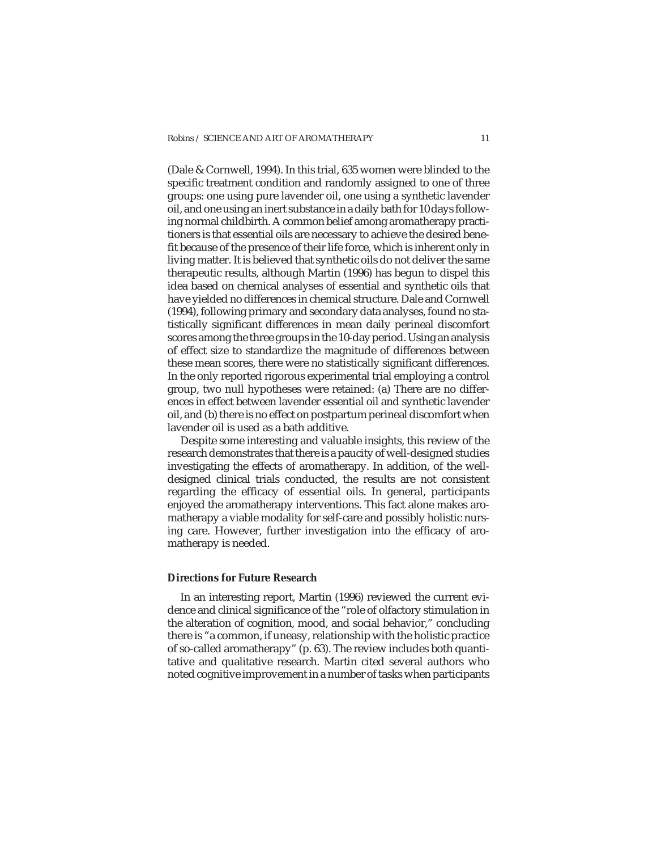(Dale & Cornwell, 1994). In this trial, 635 women were blinded to the specific treatment condition and randomly assigned to one of three groups: one using pure lavender oil, one using a synthetic lavender oil, and one using an inert substance in a daily bath for 10 days following normal childbirth. A common belief among aromatherapy practitioners is that essential oils are necessary to achieve the desired benefit because of the presence of their life force, which is inherent only in living matter. It is believed that synthetic oils do not deliver the same therapeutic results, although Martin (1996) has begun to dispel this idea based on chemical analyses of essential and synthetic oils that have yielded no differences in chemical structure. Dale and Cornwell (1994), following primary and secondary data analyses, found no statistically significant differences in mean daily perineal discomfort scores among the three groups in the 10-day period. Using an analysis of effect size to standardize the magnitude of differences between these mean scores, there were no statistically significant differences. In the only reported rigorous experimental trial employing a control group, two null hypotheses were retained: (a) There are no differences in effect between lavender essential oil and synthetic lavender oil, and (b) there is no effect on postpartum perineal discomfort when lavender oil is used as a bath additive.

Despite some interesting and valuable insights, this review of the research demonstrates that there is a paucity of well-designed studies investigating the effects of aromatherapy. In addition, of the welldesigned clinical trials conducted, the results are not consistent regarding the efficacy of essential oils. In general, participants enjoyed the aromatherapy interventions. This fact alone makes aromatherapy a viable modality for self-care and possibly holistic nursing care. However, further investigation into the efficacy of aromatherapy is needed.

### **Directions for Future Research**

In an interesting report, Martin (1996) reviewed the current evidence and clinical significance of the "role of olfactory stimulation in the alteration of cognition, mood, and social behavior," concluding there is "a common, if uneasy, relationship with the holistic practice of so-called aromatherapy" (p. 63). The review includes both quantitative and qualitative research. Martin cited several authors who noted cognitive improvement in a number of tasks when participants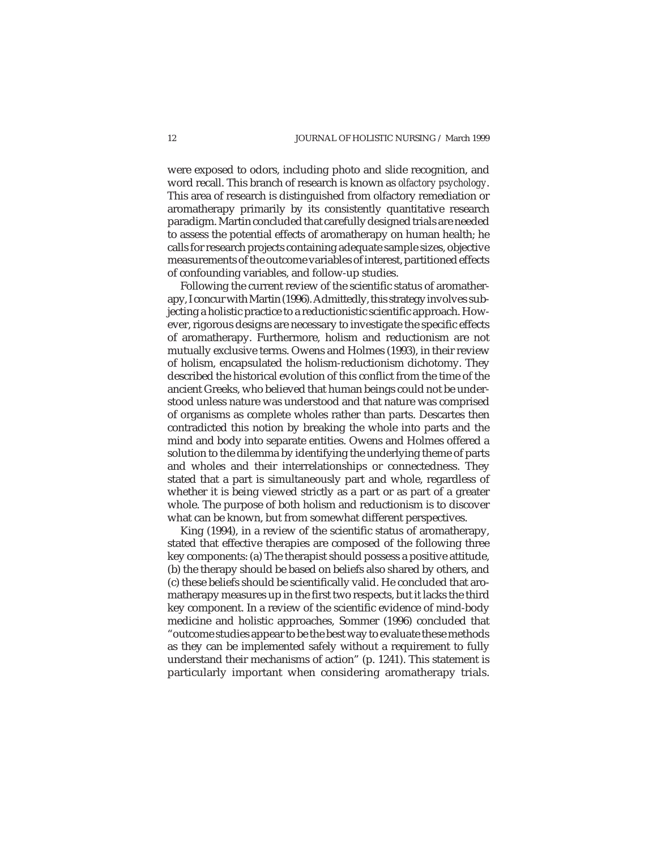were exposed to odors, including photo and slide recognition, and word recall. This branch of research is known as *olfactory psychology*. This area of research is distinguished from olfactory remediation or aromatherapy primarily by its consistently quantitative research paradigm. Martin concluded that carefully designed trials are needed to assess the potential effects of aromatherapy on human health; he calls for research projects containing adequate sample sizes, objective measurements of the outcome variables of interest, partitioned effects of confounding variables, and follow-up studies.

Following the current review of the scientific status of aromatherapy, I concur with Martin (1996). Admittedly, this strategyinvolves subjecting a holistic practice to a reductionistic scientific approach. However, rigorous designs are necessary to investigate the specific effects of aromatherapy. Furthermore, holism and reductionism are not mutually exclusive terms. Owens and Holmes (1993), in their review of holism, encapsulated the holism-reductionism dichotomy. They described the historical evolution of this conflict from the time of the ancient Greeks, who believed that human beings could not be understood unless nature was understood and that nature was comprised of organisms as complete wholes rather than parts. Descartes then contradicted this notion by breaking the whole into parts and the mind and body into separate entities. Owens and Holmes offered a solution to the dilemma by identifying the underlying theme of parts and wholes and their interrelationships or connectedness. They stated that a part is simultaneously part and whole, regardless of whether it is being viewed strictly as a part or as part of a greater whole. The purpose of both holism and reductionism is to discover what can be known, but from somewhat different perspectives.

King (1994), in a review of the scientific status of aromatherapy, stated that effective therapies are composed of the following three key components: (a) The therapist should possess a positive attitude, (b) the therapy should be based on beliefs also shared by others, and (c) these beliefs should be scientifically valid. He concluded that aromatherapy measures up in the first two respects, but it lacks the third key component. In a review of the scientific evidence of mind-body medicine and holistic approaches, Sommer (1996) concluded that "outcome studies appear to be the best way to evaluate these methods as they can be implemented safely without a requirement to fully understand their mechanisms of action" (p. 1241). This statement is particularly important when considering aromatherapy trials.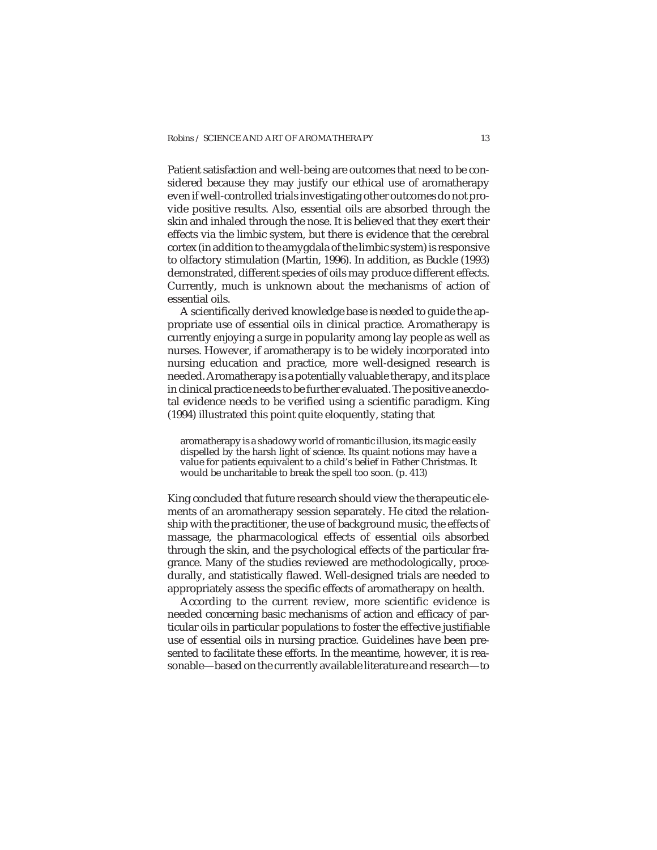Patient satisfaction and well-being are outcomes that need to be considered because they may justify our ethical use of aromatherapy even if well-controlled trials investigating other outcomes do not provide positive results. Also, essential oils are absorbed through the skin and inhaled through the nose. It is believed that they exert their effects via the limbic system, but there is evidence that the cerebral cortex (in addition to the amygdala of the limbic system) is responsive to olfactory stimulation (Martin, 1996). In addition, as Buckle (1993) demonstrated, different species of oils may produce different effects. Currently, much is unknown about the mechanisms of action of essential oils.

A scientifically derived knowledge base is needed to guide the appropriate use of essential oils in clinical practice. Aromatherapy is currently enjoying a surge in popularity among lay people as well as nurses. However, if aromatherapy is to be widely incorporated into nursing education and practice, more well-designed research is needed. Aromatherapy is a potentially valuable therapy, and its place in clinical practice needs to be further evaluated. The positive anecdotal evidence needs to be verified using a scientific paradigm. King (1994) illustrated this point quite eloquently, stating that

aromatherapy is a shadowy world of romantic illusion, its magic easily dispelled by the harsh light of science. Its quaint notions may have a value for patients equivalent to a child's belief in Father Christmas. It would be uncharitable to break the spell too soon. (p. 413)

King concluded that future research should view the therapeutic elements of an aromatherapy session separately. He cited the relationship with the practitioner, the use of background music, the effects of massage, the pharmacological effects of essential oils absorbed through the skin, and the psychological effects of the particular fragrance. Many of the studies reviewed are methodologically, procedurally, and statistically flawed. Well-designed trials are needed to appropriately assess the specific effects of aromatherapy on health.

According to the current review, more scientific evidence is needed concerning basic mechanisms of action and efficacy of particular oils in particular populations to foster the effective justifiable use of essential oils in nursing practice. Guidelines have been presented to facilitate these efforts. In the meantime, however, it is reasonable—based on the currently available literature and research—to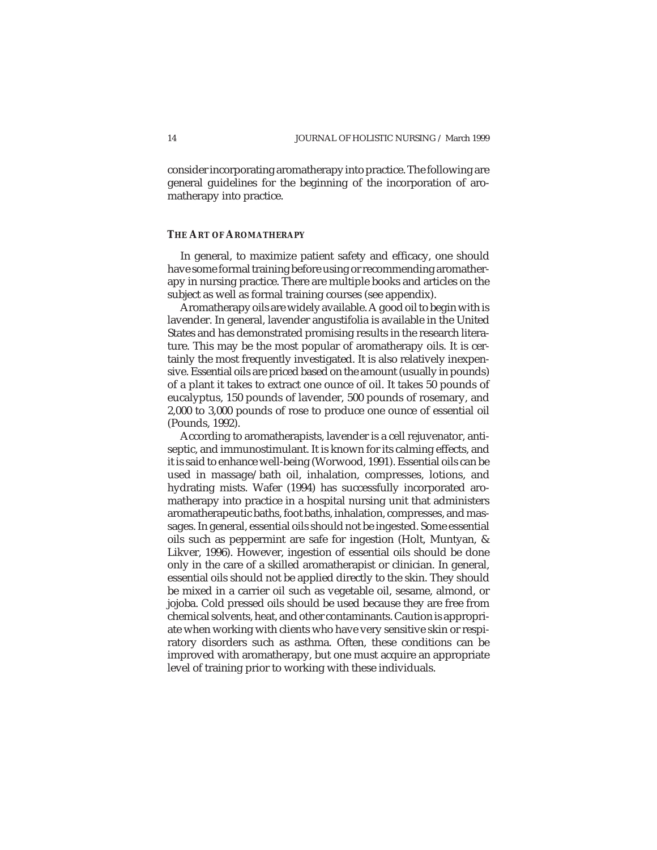consider incorporating aromatherapy into practice. The following are general guidelines for the beginning of the incorporation of aromatherapy into practice.

#### **THE ART OF AROMATHERAPY**

In general, to maximize patient safety and efficacy, one should have some formal training before using or recommending aromatherapy in nursing practice. There are multiple books and articles on the subject as well as formal training courses (see appendix).

Aromatherapy oils are widely available. A good oil to begin with is lavender. In general, lavender angustifolia is available in the United States and has demonstrated promising results in the research literature. This may be the most popular of aromatherapy oils. It is certainly the most frequently investigated. It is also relatively inexpensive. Essential oils are priced based on the amount (usually in pounds) of a plant it takes to extract one ounce of oil. It takes 50 pounds of eucalyptus, 150 pounds of lavender, 500 pounds of rosemary, and 2,000 to 3,000 pounds of rose to produce one ounce of essential oil (Pounds, 1992).

According to aromatherapists, lavender is a cell rejuvenator, antiseptic, and immunostimulant. It is known for its calming effects, and it is said to enhance well-being (Worwood, 1991). Essential oils can be used in massage/bath oil, inhalation, compresses, lotions, and hydrating mists. Wafer (1994) has successfully incorporated aromatherapy into practice in a hospital nursing unit that administers aromatherapeutic baths, foot baths, inhalation, compresses, and massages. In general, essential oils should not be ingested. Some essential oils such as peppermint are safe for ingestion (Holt, Muntyan, & Likver, 1996). However, ingestion of essential oils should be done only in the care of a skilled aromatherapist or clinician. In general, essential oils should not be applied directly to the skin. They should be mixed in a carrier oil such as vegetable oil, sesame, almond, or jojoba. Cold pressed oils should be used because they are free from chemical solvents, heat, and other contaminants. Caution is appropriate when working with clients who have very sensitive skin or respiratory disorders such as asthma. Often, these conditions can be improved with aromatherapy, but one must acquire an appropriate level of training prior to working with these individuals.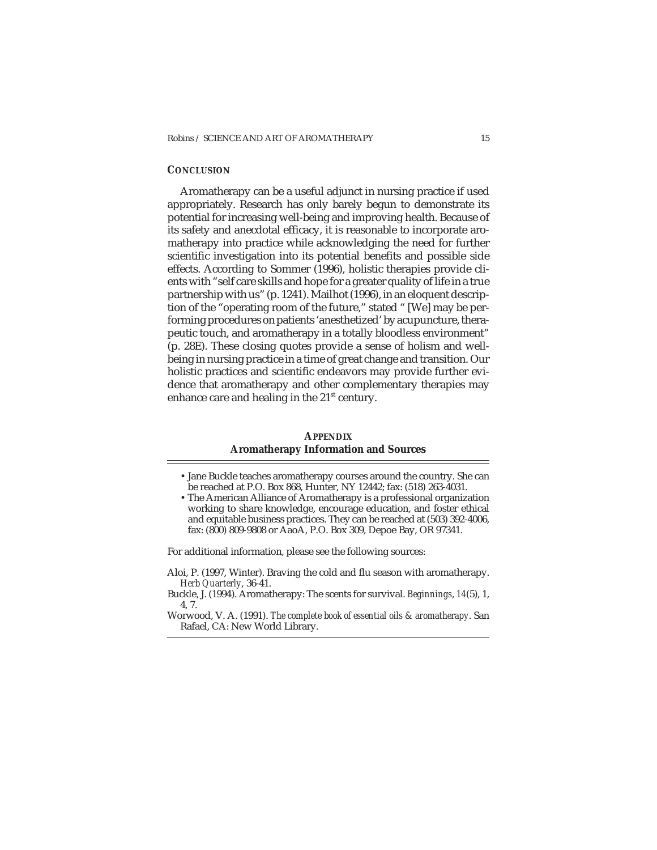#### **CONCLUSION**

Aromatherapy can be a useful adjunct in nursing practice if used appropriately. Research has only barely begun to demonstrate its potential for increasing well-being and improving health. Because of its safety and anecdotal efficacy, it is reasonable to incorporate aromatherapy into practice while acknowledging the need for further scientific investigation into its potential benefits and possible side effects. According to Sommer (1996), holistic therapies provide clients with "self care skills and hope for a greater quality of life in a true partnership with us" (p. 1241). Mailhot (1996), in an eloquent description of the "operating room of the future," stated " [We] may be performing procedures on patients 'anesthetized' by acupuncture, therapeutic touch, and aromatherapy in a totally bloodless environment" (p. 28E). These closing quotes provide a sense of holism and wellbeing in nursing practice in a time of great change and transition. Our holistic practices and scientific endeavors may provide further evidence that aromatherapy and other complementary therapies may enhance care and healing in the 21<sup>st</sup> century.

### **APPENDIX Aromatherapy Information and Sources**

- Jane Buckle teaches aromatherapy courses around the country. She can be reached at P.O. Box 868, Hunter, NY 12442; fax: (518) 263-4031.
- The American Alliance of Aromatherapy is a professional organization working to share knowledge, encourage education, and foster ethical and equitable business practices. They can be reached at (503) 392-4006, fax: (800) 809-9808 or AaoA, P.O. Box 309, Depoe Bay, OR 97341.

For additional information, please see the following sources:

Aloi, P. (1997, Winter). Braving the cold and flu season with aromatherapy. *Herb Quarterly*, 36-41.

Buckle, J. (1994). Aromatherapy: The scents for survival. *Beginnings*, *14*(5), 1, 4, 7.

Worwood, V. A. (1991). *The complete book of essential oils & aromatherapy*. San Rafael, CA: New World Library.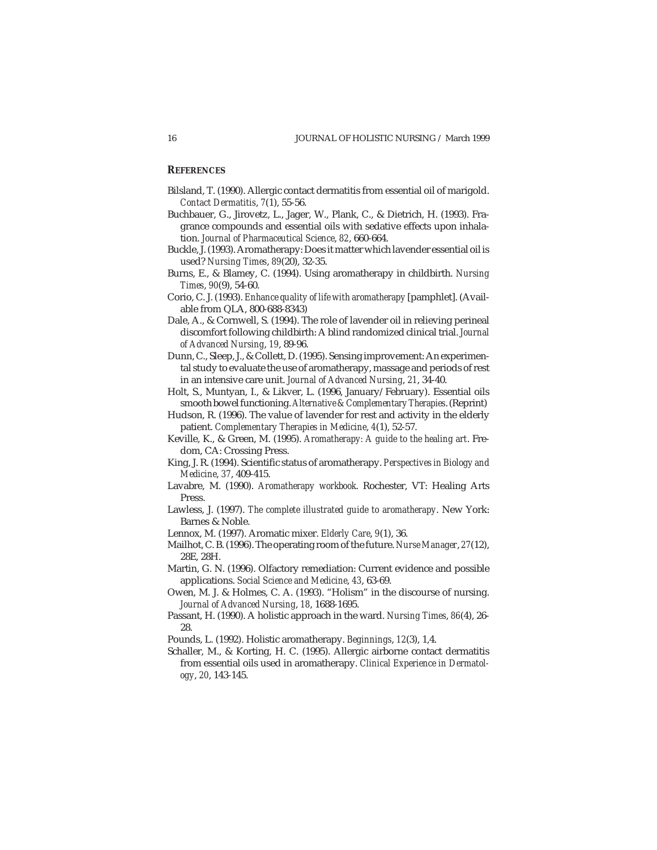### **REFERENCES**

- Bilsland, T. (1990). Allergic contact dermatitis from essential oil of marigold. *Contact Dermatitis*, *7*(1), 55-56.
- Buchbauer, G., Jirovetz, L., Jager, W., Plank, C., & Dietrich, H. (1993). Fragrance compounds and essential oils with sedative effects upon inhalation. *Journal of Pharmaceutical Science*, *82*, 660-664.
- Buckle, J. (1993). Aromatherapy: Does it matter which lavender essential oil is used? *Nursing Times*, *89*(20), 32-35.
- Burns, E., & Blamey, C. (1994). Using aromatherapy in childbirth. *Nursing Times*, *90*(9), 54-60.
- Corio, C. J. (1993). *Enhance quality of life with aromatherapy* [pamphlet]. (Available from QLA, 800-688-8343)
- Dale, A., & Cornwell, S. (1994). The role of lavender oil in relieving perineal discomfort following childbirth: A blind randomized clinical trial. *Journal of Advanced Nursing*, *19*, 89-96.
- Dunn, C., Sleep, J., & Collett, D. (1995). Sensing improvement: An experimental study to evaluate the use of aromatherapy, massage and periods of rest in an intensive care unit. *Journal of Advanced Nursing*, *21*, 34-40.
- Holt, S., Muntyan, I., & Likver, L. (1996, January/February). Essential oils smooth bowel functioning.*Alternative & Complementary Therapies*. (Reprint)
- Hudson, R. (1996). The value of lavender for rest and activity in the elderly patient. *Complementary Therapies in Medicine*, *4*(1), 52-57.
- Keville, K., & Green, M. (1995). *Aromatherapy: A guide to the healing art*. Fredom, CA: Crossing Press.
- King, J. R. (1994). Scientific status of aromatherapy. *Perspectives in Biology and Medicine*, *37*, 409-415.
- Lavabre, M. (1990). *Aromatherapy workbook*. Rochester, VT: Healing Arts Press.
- Lawless, J. (1997). *The complete illustrated guide to aromatherapy*. New York: Barnes & Noble.
- Lennox, M. (1997). Aromatic mixer. *Elderly Care*, *9*(1), 36.
- Mailhot, C. B. (1996). The operating room of the future. *Nurse Manager*, *27*(12), 28E, 28H.
- Martin, G. N. (1996). Olfactory remediation: Current evidence and possible applications. *Social Science and Medicine*, *43*, 63-69.
- Owen, M. J. & Holmes, C. A. (1993). "Holism" in the discourse of nursing. *Journal of Advanced Nursing*, *18*, 1688-1695.
- Passant, H. (1990). A holistic approach in the ward. *Nursing Times*, *86*(4), 26- 28.
- Pounds, L. (1992). Holistic aromatherapy. *Beginnings*, *12*(3), 1,4.
- Schaller, M., & Korting, H. C. (1995). Allergic airborne contact dermatitis from essential oils used in aromatherapy. *Clinical Experience in Dermatology*, *20*, 143-145.